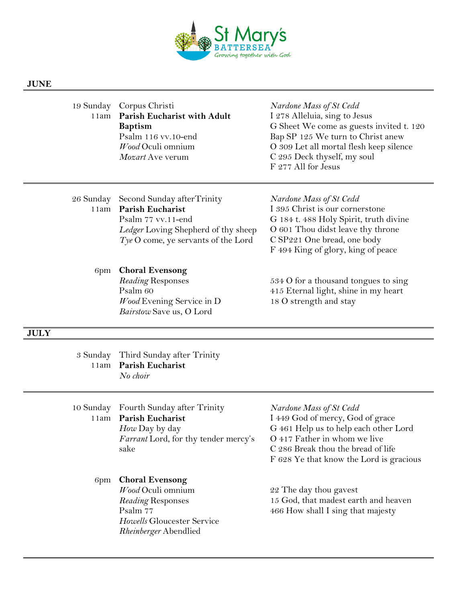

## **JUNE**

|      | 19 Sunday Corpus Christi           | Nardone     |
|------|------------------------------------|-------------|
| 11am | <b>Parish Eucharist with Adult</b> | I 278 A     |
|      | <b>Baptism</b>                     | G Sheet     |
|      | Psalm 116 vv.10-end                | Bap SP      |
|      | Wood Oculi omnium                  | O 309 L     |
|      | Mozart Ave verum                   | $C$ 295 $D$ |
|      |                                    | F 277 A     |
|      |                                    |             |

## 19 Sunday Corpus Christi *Nardone Mass of St Cedd* 11am **Parish Eucharist with Adult** I 278 Alleluia, sing to Jesus We come as guests invited t. 120 125 We turn to Christ anew et all mortal flesh keep silence Deck thyself, my soul Il for Jesus

| 26 Sunday Second Sunday after Trinity  | Nardone Mass of St Cedd                |
|----------------------------------------|----------------------------------------|
| 11am Parish Eucharist                  | I 395 Christ is our cornerstone        |
| Psalm 77 vv.11-end                     | G 184 t. 488 Holy Spirit, truth divine |
| Ledger Loving Shepherd of thy sheep    | O 601 Thou didst leave thy throne      |
| $Type O$ come, ye servants of the Lord | C SP221 One bread, one body            |
|                                        | F 494 King of glory, king of peace     |

## 6pm **Choral Evensong**

*Wood* Evening Service in D 18 O strength and stay *Bairstow* Save us, O Lord

*Reading* Responses 534 O for a thousand tongues to sing Psalm 60 415 Eternal light, shine in my heart

## **JULY**

|                   | 3 Sunday Third Sunday after Trinity<br>11am Parish Eucharist<br>No choir                                                                   |                                                                                                                                                                                                                       |
|-------------------|--------------------------------------------------------------------------------------------------------------------------------------------|-----------------------------------------------------------------------------------------------------------------------------------------------------------------------------------------------------------------------|
| 10 Sunday<br>11am | Fourth Sunday after Trinity<br><b>Parish Eucharist</b><br>How Day by day<br>Farrant Lord, for thy tender mercy's<br>sake                   | Nardone Mass of St Cedd<br>I 449 God of mercy, God of grace<br>G 461 Help us to help each other Lord<br>O 417 Father in whom we live<br>C 286 Break thou the bread of life<br>F 628 Ye that know the Lord is gracious |
| 6pm               | <b>Choral Evensong</b><br>Wood Oculi omnium<br>Reading Responses<br>Psalm 77<br><i>Howells</i> Gloucester Service<br>Rheinberger Abendlied | 22 The day thou gavest<br>15 God, that madest earth and heaven<br>466 How shall I sing that majesty                                                                                                                   |